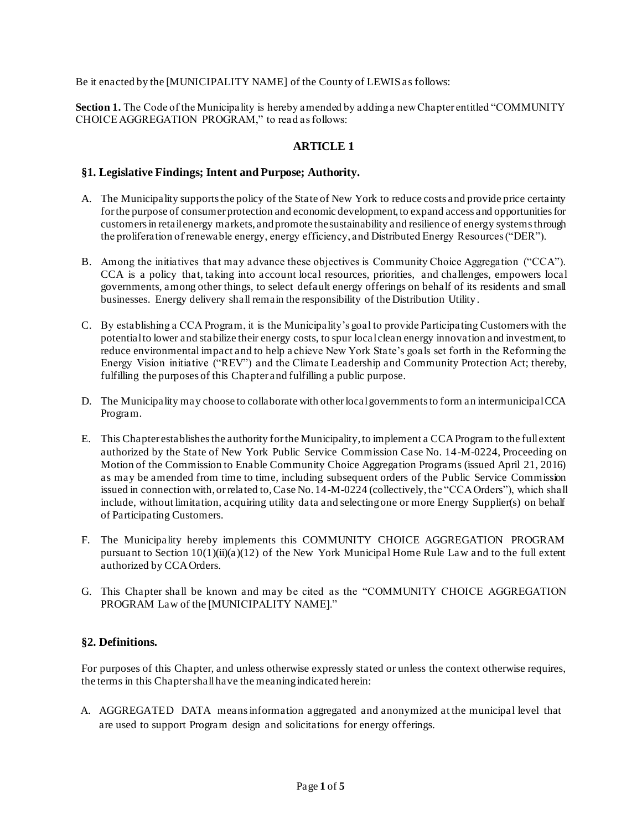Be it enacted by the [MUNICIPALITY NAME] of the County of LEWIS as follows:

**Section 1.** The Code of the Municipality is hereby amended by adding a new Chapter entitled "COMMUNITY CHOICE AGGREGATION PROGRAM," to read as follows:

### **ARTICLE 1**

#### **§1. Legislative Findings; Intent and Purpose; Authority.**

- A. The Municipality supports the policy of the State of New York to reduce costs and provide price certainty for the purpose of consumer protection and economic development, to expand access and opportunities for customers in retail energy markets, and promote the sustainability and resilience of energy systems through the proliferation of renewable energy, energy efficiency, and Distributed Energy Resources ("DER").
- B. Among the initiatives that may advance these objectives is Community Choice Aggregation ("CCA"). CCA is a policy that, taking into account local resources, priorities, and challenges, empowers local governments, among other things, to select default energy offerings on behalf of its residents and small businesses. Energy delivery shall remain the responsibility of the Distribution Utility.
- C. By establishing a CCA Program, it is the Municipality's goal to provide Participating Customers with the potential to lower and stabilize their energy costs, to spur local clean energy innovation and investment, to reduce environmental impact and to help a chieve New York State's goals set forth in the Reforming the Energy Vision initiative ("REV") and the Climate Leadership and Community Protection Act; thereby, fulfilling the purposes of this Chapter and fulfilling a public purpose.
- D. The Municipality may choose to collaborate with other local governments to form an intermunicipal CCA Program.
- E. This Chapter establishes the authority for the Municipality, to implement a CCA Program to the full extent authorized by the State of New York Public Service Commission Case No. 14-M-0224, Proceeding on Motion of the Commission to Enable Community Choice Aggregation Programs (issued April 21, 2016) as may be amended from time to time, including subsequent orders of the Public Service Commission issued in connection with, or related to, Case No. 14-M-0224 (collectively, the "CCA Orders"), which shall include, without limitation, acquiring utility data and selecting one or more Energy Supplier(s) on behalf of Participating Customers.
- F. The Municipality hereby implements this COMMUNITY CHOICE AGGREGATION PROGRAM pursuant to Section 10(1)(ii)(a)(12) of the New York Municipal Home Rule Law and to the full extent authorized by CCA Orders.
- G. This Chapter shall be known and may be cited as the "COMMUNITY CHOICE AGGREGATION PROGRAM Law of the [MUNICIPALITY NAME]."

#### **§2. Definitions.**

For purposes of this Chapter, and unless otherwise expressly stated or unless the context otherwise requires, the terms in this Chapter shall have the meaning indicated herein:

A. AGGREGATED DATA means information aggregated and anonymized at the municipal level that are used to support Program design and solicitations for energy offerings.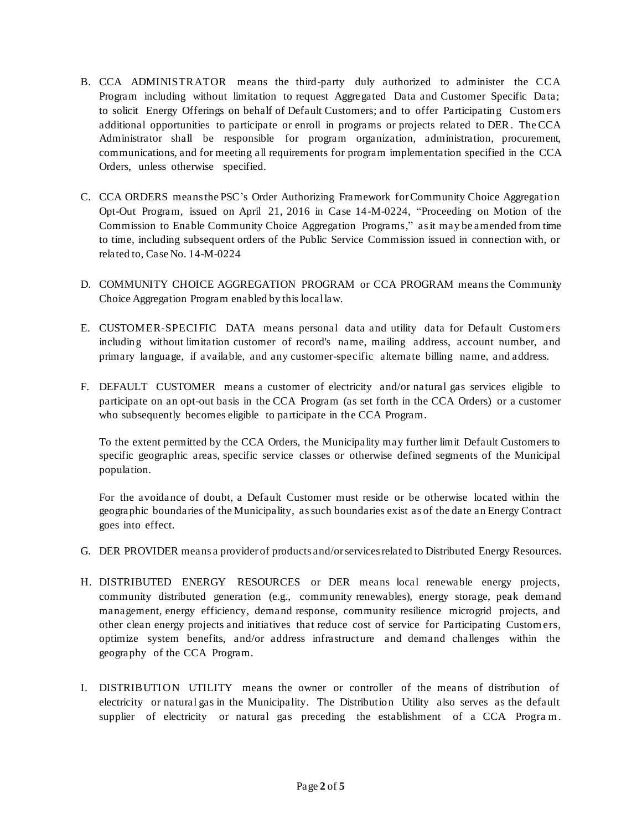- B. CCA ADMINISTRATOR means the third-party duly authorized to administer the CCA Program including without limitation to request Aggregated Data and Customer Specific Data; to solicit Energy Offerings on behalf of Default Customers; and to offer Participating Custom ers additional opportunities to participate or enroll in programs or projects related to DER. The CCA Administrator shall be responsible for program organization, administration, procurement, communications, and for meeting all requirements for program implementation specified in the CCA Orders, unless otherwise specified.
- C. CCA ORDERS means the PSC's Order Authorizing Framework for Community Choice Aggregation Opt-Out Program, issued on April 21, 2016 in Case 14-M-0224, "Proceeding on Motion of the Commission to Enable Community Choice Aggregation Programs," as it may be amended from time to time, including subsequent orders of the Public Service Commission issued in connection with, or related to, Case No. 14-M-0224
- D. COMMUNITY CHOICE AGGREGATION PROGRAM or CCA PROGRAM means the Community Choice Aggregation Program enabled by this local law.
- E. CUSTOMER-SPECIFIC DATA means personal data and utility data for Default Customers including without limitation customer of record's name, mailing address, account number, and primary language, if available, and any customer-specific alternate billing name, and address.
- F. DEFAULT CUSTOMER means a customer of electricity and/or natural gas services eligible to participate on an opt-out basis in the CCA Program (as set forth in the CCA Orders) or a customer who subsequently becomes eligible to participate in the CCA Program.

To the extent permitted by the CCA Orders, the Municipality may further limit Default Customers to specific geographic areas, specific service classes or otherwise defined segments of the Municipal population.

For the avoidance of doubt, a Default Customer must reside or be otherwise located within the geographic boundaries of the Municipality, as such boundaries exist as of the date an Energy Contract goes into effect.

- G. DER PROVIDER means a provider of products and/or services related to Distributed Energy Resources.
- H. DISTRIBUTED ENERGY RESOURCES or DER means local renewable energy projects, community distributed generation (e.g., community renewables), energy storage, peak demand management, energy efficiency, demand response, community resilience microgrid projects, and other clean energy projects and initiatives that reduce cost of service for Participating Custom ers, optimize system benefits, and/or address infrastructure and demand challenges within the geography of the CCA Program.
- I. DISTRIBUTION UTILITY means the owner or controller of the means of distribution of electricity or natural gas in the Municipality. The Distribution Utility also serves as the default supplier of electricity or natural gas preceding the establishment of a CCA Program.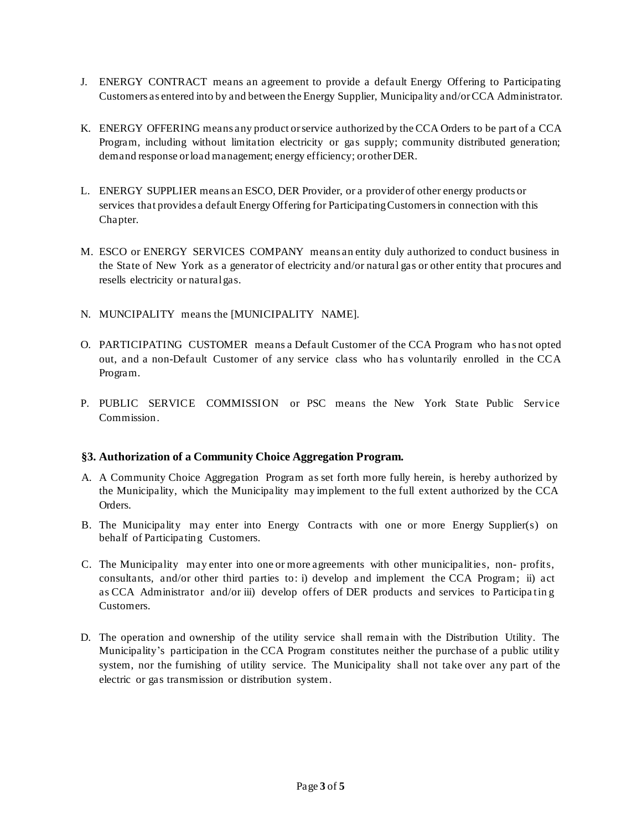- J. ENERGY CONTRACT means an agreement to provide a default Energy Offering to Participating Customers as entered into by and between the Energy Supplier, Municipality and/or CCA Administrator.
- K. ENERGY OFFERING means any product or service authorized by the CCA Orders to be part of a CCA Program, including without limitation electricity or gas supply; community distributed generation; demand response or load management; energy efficiency; or other DER.
- L. ENERGY SUPPLIER means an ESCO, DER Provider, or a provider of other energy products or services that provides a default Energy Offering for Participating Customers in connection with this Chapter.
- M. ESCO or ENERGY SERVICES COMPANY means an entity duly authorized to conduct business in the State of New York as a generator of electricity and/or natural gas or other entity that procures and resells electricity or natural gas.
- N. MUNCIPALITY means the [MUNICIPALITY NAME].
- O. PARTICIPATING CUSTOMER means a Default Customer of the CCA Program who ha s not opted out, and a non-Default Customer of any service class who ha s voluntarily enrolled in the CCA Program.
- P. PUBLIC SERVICE COMMISSION or PSC means the New York State Public Service Commission.

#### **§3. Authorization of a Community Choice Aggregation Program.**

- A. A Community Choice Aggregation Program as set forth more fully herein, is hereby authorized by the Municipality, which the Municipality may implement to the full extent authorized by the CCA Orders.
- B. The Municipality may enter into Energy Contracts with one or more Energy Supplier(s) on behalf of Participating Customers.
- C. The Municipality may enter into one or more agreements with other municipalities, non- profits, consultants, and/or other third parties to: i) develop and implement the CCA Program; ii) act as CCA Administrator and/or iii) develop offers of DER products and services to Participa tin g Customers.
- D. The operation and ownership of the utility service shall remain with the Distribution Utility. The Municipality's participation in the CCA Program constitutes neither the purchase of a public utility system, nor the furnishing of utility service. The Municipality shall not take over any part of the electric or gas transmission or distribution system.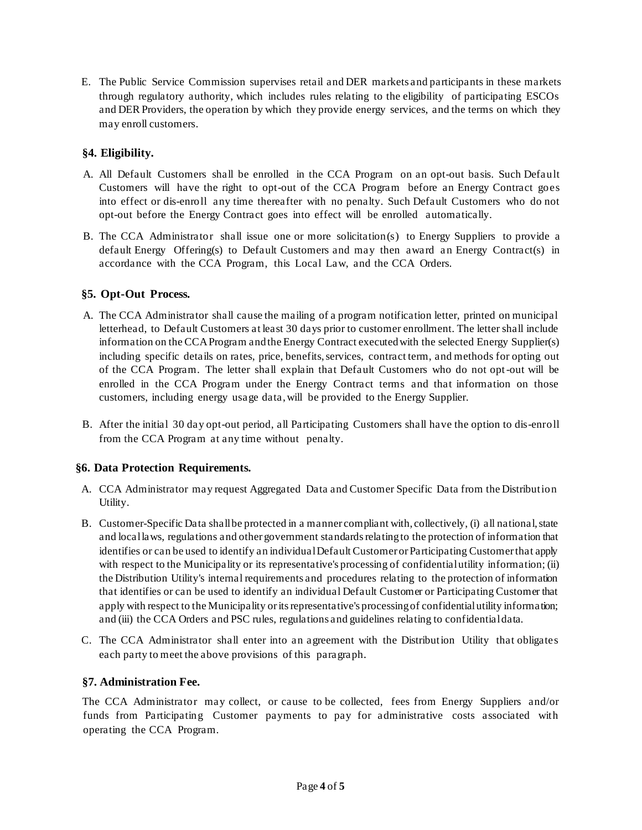E. The Public Service Commission supervises retail and DER markets and participants in these markets through regulatory authority, which includes rules relating to the eligibility of participating ESCOs and DER Providers, the operation by which they provide energy services, and the terms on which they may enroll customers.

# **§4. Eligibility.**

- A. All Default Customers shall be enrolled in the CCA Program on an opt-out basis. Such Default Customers will have the right to opt-out of the CCA Program before an Energy Contract goes into effect or dis-enroll any time thereafter with no penalty. Such Default Customers who do not opt-out before the Energy Contract goes into effect will be enrolled automatically.
- B. The CCA Administrator shall issue one or more solicitation(s) to Energy Suppliers to provide a default Energy Offering(s) to Default Customers and may then award an Energy Contract(s) in accordance with the CCA Program, this Local Law, and the CCA Orders.

# **§5. Opt-Out Process.**

- A. The CCA Administrator shall cause the mailing of a program notification letter, printed on municipal letterhead, to Default Customers at least 30 days prior to customer enrollment. The letter shall include information on the CCA Program and the Energy Contract executed with the selected Energy Supplier(s) including specific details on rates, price, benefits, services, contract term, and methods for opting out of the CCA Program. The letter shall explain that Default Customers who do not opt-out will be enrolled in the CCA Program under the Energy Contract terms and that information on those customers, including energy usage data, will be provided to the Energy Supplier.
- B. After the initial 30 day opt-out period, all Participating Customers shall have the option to dis-enroll from the CCA Program at any time without penalty.

# **§6. Data Protection Requirements.**

- A. CCA Administrator may request Aggregated Data and Customer Specific Data from the Distribution Utility.
- B. Customer-Specific Data shall be protected in a manner compliant with, collectively, (i) all national, state and local laws, regulations and other government standards relating to the protection of information that identifies or can be used to identify an individual Default Customer or Participating Customer that apply with respect to the Municipality or its representative's processing of confidential utility information; (ii) the Distribution Utility's internal requirements and procedures relating to the protection of information that identifies or can be used to identify an individual Default Customer or Participating Customer that apply with respect to the Municipality or its representative's processing of confidential utility information; and (iii) the CCA Orders and PSC rules, regulations and guidelines relating to confidential data.
- C. The CCA Administrator shall enter into an agreement with the Distribution Utility that obligates each party to meet the above provisions of this paragraph.

# **§7. Administration Fee.**

The CCA Administrator may collect, or cause to be collected, fees from Energy Suppliers and/or funds from Participating Customer payments to pay for administrative costs associated with operating the CCA Program.